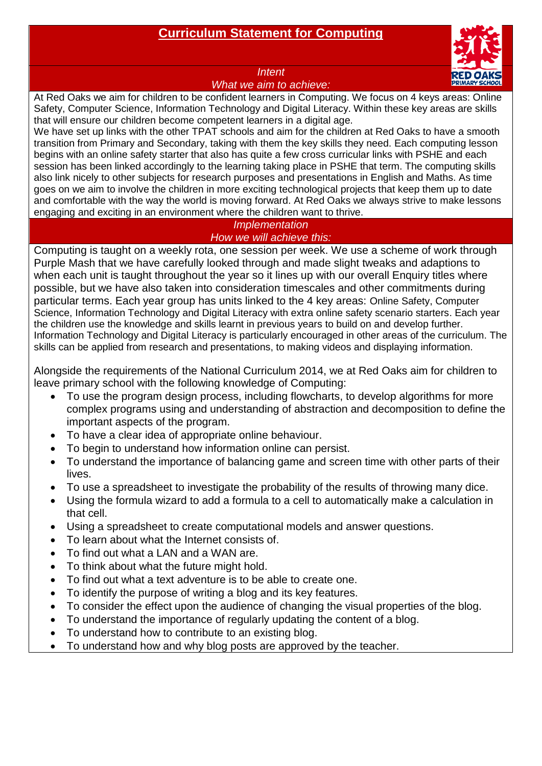# **Curriculum Statement for Computing**



#### *Intent*

*What we aim to achieve:*

At Red Oaks we aim for children to be confident learners in Computing. We focus on 4 keys areas: Online Safety, Computer Science, Information Technology and Digital Literacy. Within these key areas are skills that will ensure our children become competent learners in a digital age.

We have set up links with the other TPAT schools and aim for the children at Red Oaks to have a smooth transition from Primary and Secondary, taking with them the key skills they need. Each computing lesson begins with an online safety starter that also has quite a few cross curricular links with PSHE and each session has been linked accordingly to the learning taking place in PSHE that term. The computing skills also link nicely to other subjects for research purposes and presentations in English and Maths. As time goes on we aim to involve the children in more exciting technological projects that keep them up to date and comfortable with the way the world is moving forward. At Red Oaks we always strive to make lessons engaging and exciting in an environment where the children want to thrive.

## *Implementation How we will achieve this:*

Computing is taught on a weekly rota, one session per week. We use a scheme of work through Purple Mash that we have carefully looked through and made slight tweaks and adaptions to when each unit is taught throughout the year so it lines up with our overall Enquiry titles where possible, but we have also taken into consideration timescales and other commitments during particular terms. Each year group has units linked to the 4 key areas: Online Safety, Computer Science, Information Technology and Digital Literacy with extra online safety scenario starters. Each year the children use the knowledge and skills learnt in previous years to build on and develop further. Information Technology and Digital Literacy is particularly encouraged in other areas of the curriculum. The skills can be applied from research and presentations, to making videos and displaying information.

Alongside the requirements of the National Curriculum 2014, we at Red Oaks aim for children to leave primary school with the following knowledge of Computing:

- To use the program design process, including flowcharts, to develop algorithms for more complex programs using and understanding of abstraction and decomposition to define the important aspects of the program.
- To have a clear idea of appropriate online behaviour.
- To begin to understand how information online can persist.
- To understand the importance of balancing game and screen time with other parts of their lives.
- To use a spreadsheet to investigate the probability of the results of throwing many dice.
- Using the formula wizard to add a formula to a cell to automatically make a calculation in that cell.
- Using a spreadsheet to create computational models and answer questions.
- To learn about what the Internet consists of.
- To find out what a LAN and a WAN are.
- To think about what the future might hold.
- To find out what a text adventure is to be able to create one.
- To identify the purpose of writing a blog and its key features.
- To consider the effect upon the audience of changing the visual properties of the blog.
- To understand the importance of regularly updating the content of a blog.
- To understand how to contribute to an existing blog.
- To understand how and why blog posts are approved by the teacher.